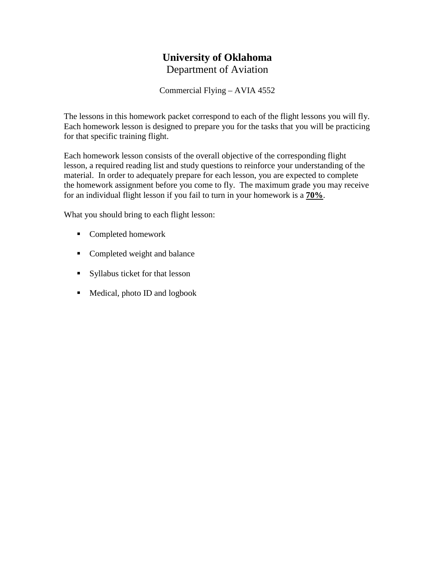# **University of Oklahoma** Department of Aviation

Commercial Flying – AVIA 4552

The lessons in this homework packet correspond to each of the flight lessons you will fly. Each homework lesson is designed to prepare you for the tasks that you will be practicing for that specific training flight.

Each homework lesson consists of the overall objective of the corresponding flight lesson, a required reading list and study questions to reinforce your understanding of the material. In order to adequately prepare for each lesson, you are expected to complete the homework assignment before you come to fly. The maximum grade you may receive for an individual flight lesson if you fail to turn in your homework is a **70%**.

What you should bring to each flight lesson:

- Completed homework
- Completed weight and balance
- Syllabus ticket for that lesson
- Medical, photo ID and logbook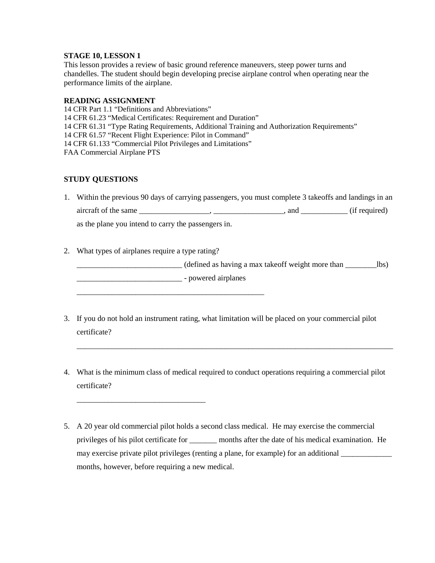This lesson provides a review of basic ground reference maneuvers, steep power turns and chandelles. The student should begin developing precise airplane control when operating near the performance limits of the airplane.

#### **READING ASSIGNMENT**

14 CFR Part 1.1 "Definitions and Abbreviations" 14 CFR 61.23 "Medical Certificates: Requirement and Duration" 14 CFR 61.31 "Type Rating Requirements, Additional Training and Authorization Requirements" 14 CFR 61.57 "Recent Flight Experience: Pilot in Command" 14 CFR 61.133 "Commercial Pilot Privileges and Limitations" FAA Commercial Airplane PTS

#### **STUDY QUESTIONS**

- 1. Within the previous 90 days of carrying passengers, you must complete 3 takeoffs and landings in an  $\arctan f$  of the same  $\frac{\qquad \qquad}{\qquad \qquad}$ ,  $\frac{\qquad \qquad}{\qquad \qquad}$ , and  $\frac{\qquad \qquad}{\qquad \qquad}$  (if required) as the plane you intend to carry the passengers in.
- 2. What types of airplanes require a type rating?

\_\_\_\_\_\_\_\_\_\_\_\_\_\_\_\_\_\_\_\_\_\_\_\_\_\_\_\_\_\_\_\_\_

\_\_\_\_\_\_\_\_\_\_\_\_\_\_\_\_\_\_\_\_\_\_\_\_\_\_\_\_\_\_\_\_\_\_\_\_\_\_\_\_\_\_\_\_\_\_\_\_

\_\_\_\_\_\_\_\_\_\_\_\_\_\_\_\_\_\_\_\_\_\_\_\_\_\_\_ (defined as having a max takeoff weight more than \_\_\_\_\_\_\_\_lbs)

\_\_\_\_\_\_\_\_\_\_\_\_\_\_\_\_\_\_\_\_\_\_\_\_\_\_\_ - powered airplanes

- 3. If you do not hold an instrument rating, what limitation will be placed on your commercial pilot certificate?
- 4. What is the minimum class of medical required to conduct operations requiring a commercial pilot certificate?

\_\_\_\_\_\_\_\_\_\_\_\_\_\_\_\_\_\_\_\_\_\_\_\_\_\_\_\_\_\_\_\_\_\_\_\_\_\_\_\_\_\_\_\_\_\_\_\_\_\_\_\_\_\_\_\_\_\_\_\_\_\_\_\_\_\_\_\_\_\_\_\_\_\_\_\_\_\_\_\_\_

5. A 20 year old commercial pilot holds a second class medical. He may exercise the commercial privileges of his pilot certificate for \_\_\_\_\_\_\_ months after the date of his medical examination. He may exercise private pilot privileges (renting a plane, for example) for an additional \_\_\_\_\_\_\_\_\_\_\_\_\_ months, however, before requiring a new medical.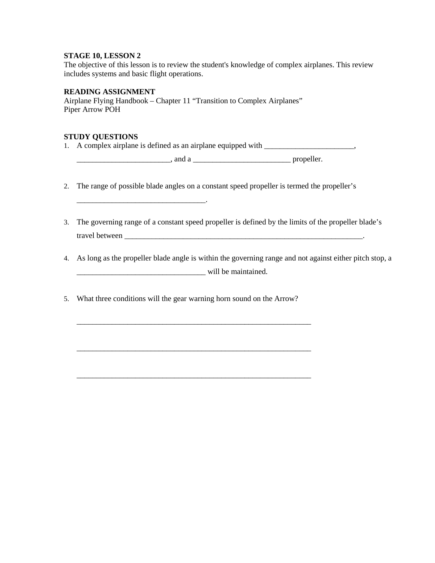The objective of this lesson is to review the student's knowledge of complex airplanes. This review includes systems and basic flight operations.

### **READING ASSIGNMENT**

\_\_\_\_\_\_\_\_\_\_\_\_\_\_\_\_\_\_\_\_\_\_\_\_\_\_\_\_\_\_\_\_\_.

Airplane Flying Handbook – Chapter 11 "Transition to Complex Airplanes" Piper Arrow POH

#### **STUDY QUESTIONS**

1. A complex airplane is defined as an airplane equipped with \_\_\_\_\_\_\_\_\_\_\_\_\_\_\_\_\_\_\_,

\_\_\_\_\_\_\_\_\_\_\_\_\_\_\_\_\_\_\_\_\_\_\_\_, and a \_\_\_\_\_\_\_\_\_\_\_\_\_\_\_\_\_\_\_\_\_\_\_\_\_ propeller.

- 2. The range of possible blade angles on a constant speed propeller is termed the propeller's
- 3. The governing range of a constant speed propeller is defined by the limits of the propeller blade's travel between

4. As long as the propeller blade angle is within the governing range and not against either pitch stop, a \_\_\_\_\_\_\_\_\_\_\_\_\_\_\_\_\_\_\_\_\_\_\_\_\_\_\_\_\_\_\_\_\_ will be maintained.

5. What three conditions will the gear warning horn sound on the Arrow?

\_\_\_\_\_\_\_\_\_\_\_\_\_\_\_\_\_\_\_\_\_\_\_\_\_\_\_\_\_\_\_\_\_\_\_\_\_\_\_\_\_\_\_\_\_\_\_\_\_\_\_\_\_\_\_\_\_\_\_\_

\_\_\_\_\_\_\_\_\_\_\_\_\_\_\_\_\_\_\_\_\_\_\_\_\_\_\_\_\_\_\_\_\_\_\_\_\_\_\_\_\_\_\_\_\_\_\_\_\_\_\_\_\_\_\_\_\_\_\_\_

\_\_\_\_\_\_\_\_\_\_\_\_\_\_\_\_\_\_\_\_\_\_\_\_\_\_\_\_\_\_\_\_\_\_\_\_\_\_\_\_\_\_\_\_\_\_\_\_\_\_\_\_\_\_\_\_\_\_\_\_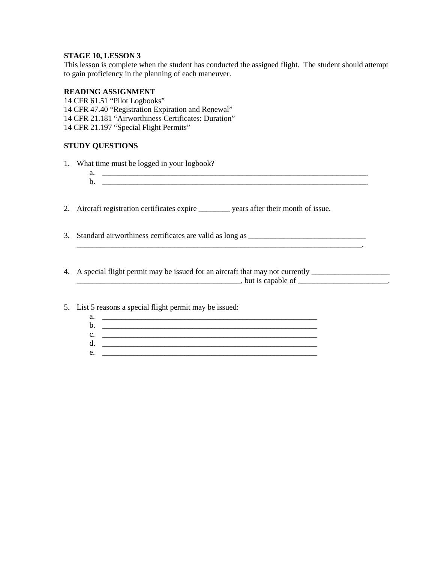This lesson is complete when the student has conducted the assigned flight. The student should attempt to gain proficiency in the planning of each maneuver.

## **READING ASSIGNMENT**

14 CFR 61.51 "Pilot Logbooks" 14 CFR 47.40 "Registration Expiration and Renewal" 14 CFR 21.181 "Airworthiness Certificates: Duration" 14 CFR 21.197 "Special Flight Permits"

## **STUDY QUESTIONS**

- 1. What time must be logged in your logbook?
	- a. \_\_\_\_\_\_\_\_\_\_\_\_\_\_\_\_\_\_\_\_\_\_\_\_\_\_\_\_\_\_\_\_\_\_\_\_\_\_\_\_\_\_\_\_\_\_\_\_\_\_\_\_\_\_\_\_\_\_\_\_\_\_\_\_\_\_\_\_  $\mathbf{b}$ .

2. Aircraft registration certificates expire \_\_\_\_\_\_\_\_ years after their month of issue.

- 3. Standard airworthiness certificates are valid as long as \_\_\_\_\_\_\_\_\_\_\_\_\_\_\_\_\_\_\_\_\_
- 4. A special flight permit may be issued for an aircraft that may not currently \_\_\_\_\_\_\_\_\_\_\_\_\_\_\_\_\_\_\_\_ \_\_\_\_\_\_\_\_\_\_\_\_\_\_\_\_\_\_\_\_\_\_\_\_\_\_\_\_\_\_\_\_\_\_\_\_\_\_\_\_\_\_, but is capable of \_\_\_\_\_\_\_\_\_\_\_\_\_\_\_\_\_\_\_\_\_\_\_.

\_\_\_\_\_\_\_\_\_\_\_\_\_\_\_\_\_\_\_\_\_\_\_\_\_\_\_\_\_\_\_\_\_\_\_\_\_\_\_\_\_\_\_\_\_\_\_\_\_\_\_\_\_\_\_\_\_\_\_\_\_\_\_\_\_\_\_\_\_\_\_\_\_.

5. List 5 reasons a special flight permit may be issued:

a. \_\_\_\_\_\_\_\_\_\_\_\_\_\_\_\_\_\_\_\_\_\_\_\_\_\_\_\_\_\_\_\_\_\_\_\_\_\_\_\_\_\_\_\_\_\_\_\_\_\_\_\_\_\_\_ b. \_\_\_\_\_\_\_\_\_\_\_\_\_\_\_\_\_\_\_\_\_\_\_\_\_\_\_\_\_\_\_\_\_\_\_\_\_\_\_\_\_\_\_\_\_\_\_\_\_\_\_\_\_\_\_ c. \_\_\_\_\_\_\_\_\_\_\_\_\_\_\_\_\_\_\_\_\_\_\_\_\_\_\_\_\_\_\_\_\_\_\_\_\_\_\_\_\_\_\_\_\_\_\_\_\_\_\_\_\_\_\_ d. \_\_\_\_\_\_\_\_\_\_\_\_\_\_\_\_\_\_\_\_\_\_\_\_\_\_\_\_\_\_\_\_\_\_\_\_\_\_\_\_\_\_\_\_\_\_\_\_\_\_\_\_\_\_\_ e. \_\_\_\_\_\_\_\_\_\_\_\_\_\_\_\_\_\_\_\_\_\_\_\_\_\_\_\_\_\_\_\_\_\_\_\_\_\_\_\_\_\_\_\_\_\_\_\_\_\_\_\_\_\_\_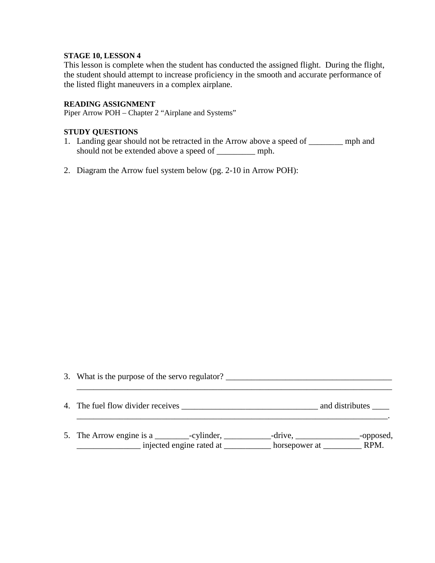This lesson is complete when the student has conducted the assigned flight. During the flight, the student should attempt to increase proficiency in the smooth and accurate performance of the listed flight maneuvers in a complex airplane.

## **READING ASSIGNMENT**

Piper Arrow POH – Chapter 2 "Airplane and Systems"

## **STUDY QUESTIONS**

- 1. Landing gear should not be retracted in the Arrow above a speed of \_\_\_\_\_\_\_\_ mph and should not be extended above a speed of \_\_\_\_\_\_\_\_\_ mph.
- 2. Diagram the Arrow fuel system below (pg. 2-10 in Arrow POH):

| 3. What is the purpose of the servo regulator? __________________________________ |                         |  |  |
|-----------------------------------------------------------------------------------|-------------------------|--|--|
|                                                                                   | and distributes _______ |  |  |
|                                                                                   | _-opposed,              |  |  |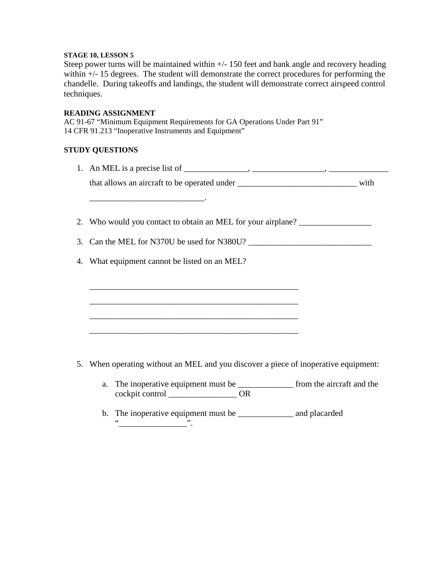Steep power turns will be maintained within +/- 150 feet and bank angle and recovery heading within  $+/- 15$  degrees. The student will demonstrate the correct procedures for performing the chandelle. During takeoffs and landings, the student will demonstrate correct airspeed control techniques.

#### **READING ASSIGNMENT**

AC 91-67 "Minimum Equipment Requirements for GA Operations Under Part 91" 14 CFR 91.213 "Inoperative Instruments and Equipment"

## **STUDY QUESTIONS**

| 1. An MEL is a precise list of $\_\_\_\_\_\_\_\$ , $\_\_\_\_\_\_\_\_\_\_\_$           |
|---------------------------------------------------------------------------------------|
| that allows an aircraft to be operated under ___________________________________ with |
|                                                                                       |
| 2. Who would you contact to obtain an MEL for your airplane?                          |
| 3. Can the MEL for N370U be used for N380U?                                           |
| 4. What equipment cannot be listed on an MEL?                                         |
|                                                                                       |
|                                                                                       |
|                                                                                       |
|                                                                                       |
|                                                                                       |
| 5. When operating without an MEL and you discover a piece of inoperative equipment:   |
| a. The inoperative equipment must be _______________ from the aircraft and the        |
|                                                                                       |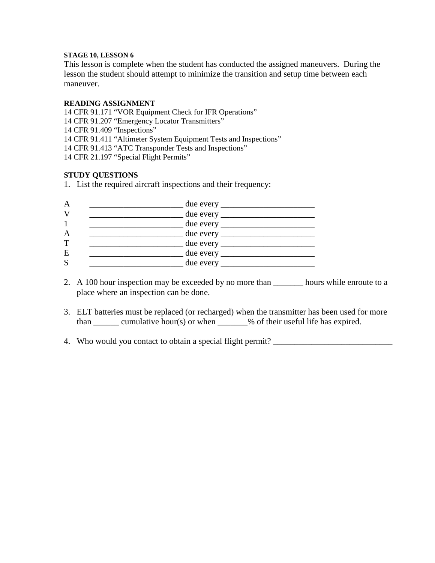This lesson is complete when the student has conducted the assigned maneuvers. During the lesson the student should attempt to minimize the transition and setup time between each maneuver.

## **READING ASSIGNMENT**

14 CFR 91.171 "VOR Equipment Check for IFR Operations" 14 CFR 91.207 "Emergency Locator Transmitters" 14 CFR 91.409 "Inspections" 14 CFR 91.411 "Altimeter System Equipment Tests and Inspections" 14 CFR 91.413 "ATC Transponder Tests and Inspections" 14 CFR 21.197 "Special Flight Permits"

## **STUDY QUESTIONS**

1. List the required aircraft inspections and their frequency:

|   | due every $\frac{1}{\sqrt{1-\frac{1}{2}} \cdot \frac{1}{2}}$ |
|---|--------------------------------------------------------------|
|   |                                                              |
|   |                                                              |
|   |                                                              |
|   |                                                              |
| E |                                                              |
|   | due every $\_\_$                                             |

- 2. A 100 hour inspection may be exceeded by no more than hours while enroute to a place where an inspection can be done.
- 3. ELT batteries must be replaced (or recharged) when the transmitter has been used for more than  $\_\_\_\_\_\$ cumulative hour(s) or when  $\_\_\_\_\$ % of their useful life has expired.
- 4. Who would you contact to obtain a special flight permit?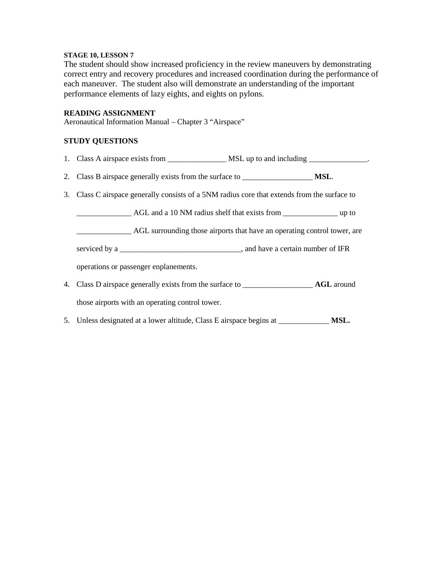The student should show increased proficiency in the review maneuvers by demonstrating correct entry and recovery procedures and increased coordination during the performance of each maneuver. The student also will demonstrate an understanding of the important performance elements of lazy eights, and eights on pylons.

#### **READING ASSIGNMENT**

Aeronautical Information Manual – Chapter 3 "Airspace"

## **STUDY QUESTIONS**

| 2. Class B airspace generally exists from the surface to ________________________ MSL.       |  |  |  |
|----------------------------------------------------------------------------------------------|--|--|--|
| 3. Class C airspace generally consists of a 5NM radius core that extends from the surface to |  |  |  |
|                                                                                              |  |  |  |
| AGL surrounding those airports that have an operating control tower, are                     |  |  |  |
|                                                                                              |  |  |  |
| operations or passenger enplanements.                                                        |  |  |  |
|                                                                                              |  |  |  |
| those airports with an operating control tower.                                              |  |  |  |

5. Unless designated at a lower altitude, Class E airspace begins at \_\_\_\_\_\_\_\_\_\_\_\_\_ **MSL.**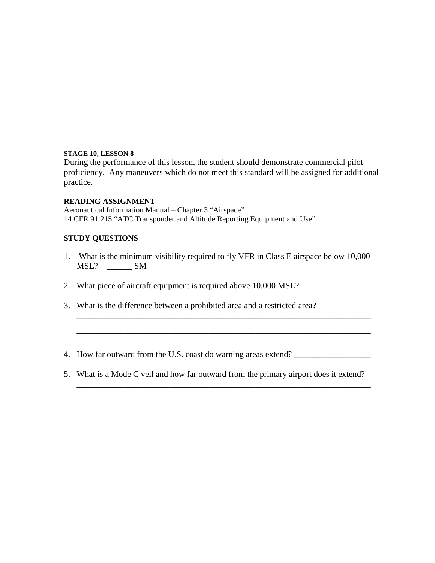During the performance of this lesson, the student should demonstrate commercial pilot proficiency. Any maneuvers which do not meet this standard will be assigned for additional practice.

## **READING ASSIGNMENT**

Aeronautical Information Manual – Chapter 3 "Airspace" 14 CFR 91.215 "ATC Transponder and Altitude Reporting Equipment and Use"

# **STUDY QUESTIONS**

1. What is the minimum visibility required to fly VFR in Class E airspace below 10,000 MSL? \_\_\_\_\_\_ SM

\_\_\_\_\_\_\_\_\_\_\_\_\_\_\_\_\_\_\_\_\_\_\_\_\_\_\_\_\_\_\_\_\_\_\_\_\_\_\_\_\_\_\_\_\_\_\_\_\_\_\_\_\_\_\_\_\_\_\_\_\_\_\_\_\_\_\_\_\_

\_\_\_\_\_\_\_\_\_\_\_\_\_\_\_\_\_\_\_\_\_\_\_\_\_\_\_\_\_\_\_\_\_\_\_\_\_\_\_\_\_\_\_\_\_\_\_\_\_\_\_\_\_\_\_\_\_\_\_\_\_\_\_\_\_\_\_\_\_

\_\_\_\_\_\_\_\_\_\_\_\_\_\_\_\_\_\_\_\_\_\_\_\_\_\_\_\_\_\_\_\_\_\_\_\_\_\_\_\_\_\_\_\_\_\_\_\_\_\_\_\_\_\_\_\_\_\_\_\_\_\_\_\_\_\_\_\_\_

\_\_\_\_\_\_\_\_\_\_\_\_\_\_\_\_\_\_\_\_\_\_\_\_\_\_\_\_\_\_\_\_\_\_\_\_\_\_\_\_\_\_\_\_\_\_\_\_\_\_\_\_\_\_\_\_\_\_\_\_\_\_\_\_\_\_\_\_\_

- 2. What piece of aircraft equipment is required above 10,000 MSL?
- 3. What is the difference between a prohibited area and a restricted area?
- 4. How far outward from the U.S. coast do warning areas extend?
- 5. What is a Mode C veil and how far outward from the primary airport does it extend?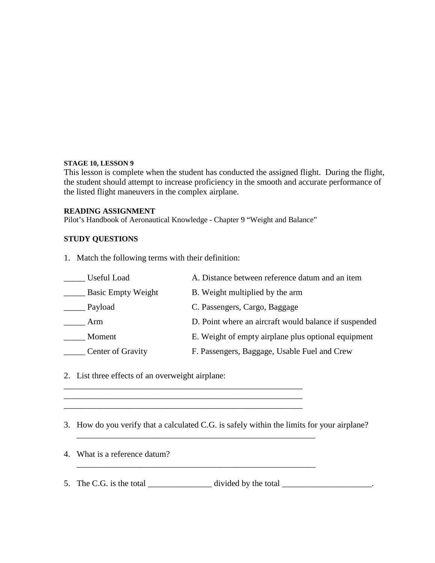This lesson is complete when the student has conducted the assigned flight. During the flight, the student should attempt to increase proficiency in the smooth and accurate performance of the listed flight maneuvers in the complex airplane.

## **READING ASSIGNMENT**

Pilot's Handbook of Aeronautical Knowledge - Chapter 9 "Weight and Balance"

# **STUDY QUESTIONS**

1. Match the following terms with their definition:

| Useful Load               | A. Distance between reference datum and an item       |
|---------------------------|-------------------------------------------------------|
| <b>Basic Empty Weight</b> | B. Weight multiplied by the arm                       |
| Payload                   | C. Passengers, Cargo, Baggage                         |
| Arm                       | D. Point where an aircraft would balance if suspended |
| Moment                    | E. Weight of empty airplane plus optional equipment   |
| Center of Gravity         | F. Passengers, Baggage, Usable Fuel and Crew          |

2. List three effects of an overweight airplane:

3. How do you verify that a calculated C.G. is safely within the limits for your airplane?

 $\mathcal{L}_\text{max} = \mathcal{L}_\text{max} = \mathcal{L}_\text{max} = \mathcal{L}_\text{max} = \mathcal{L}_\text{max} = \mathcal{L}_\text{max} = \mathcal{L}_\text{max} = \mathcal{L}_\text{max} = \mathcal{L}_\text{max} = \mathcal{L}_\text{max} = \mathcal{L}_\text{max} = \mathcal{L}_\text{max} = \mathcal{L}_\text{max} = \mathcal{L}_\text{max} = \mathcal{L}_\text{max} = \mathcal{L}_\text{max} = \mathcal{L}_\text{max} = \mathcal{L}_\text{max} = \mathcal{$ 

\_\_\_\_\_\_\_\_\_\_\_\_\_\_\_\_\_\_\_\_\_\_\_\_\_\_\_\_\_\_\_\_\_\_\_\_\_\_\_\_\_\_\_\_\_\_\_\_\_\_\_\_\_\_\_\_

\_\_\_\_\_\_\_\_\_\_\_\_\_\_\_\_\_\_\_\_\_\_\_\_\_\_\_\_\_\_\_\_\_\_\_\_\_\_\_\_\_\_\_\_\_\_\_\_\_\_\_\_\_\_\_\_ \_\_\_\_\_\_\_\_\_\_\_\_\_\_\_\_\_\_\_\_\_\_\_\_\_\_\_\_\_\_\_\_\_\_\_\_\_\_\_\_\_\_\_\_\_\_\_\_\_\_\_\_\_\_\_\_

- 4. What is a reference datum?
- 5. The C.G. is the total  $\frac{1}{\sqrt{1-\frac{1}{n}}}\dots$  divided by the total  $\frac{1}{\sqrt{1-\frac{1}{n}}}\dots$

\_\_\_\_\_\_\_\_\_\_\_\_\_\_\_\_\_\_\_\_\_\_\_\_\_\_\_\_\_\_\_\_\_\_\_\_\_\_\_\_\_\_\_\_\_\_\_\_\_\_\_\_\_\_\_\_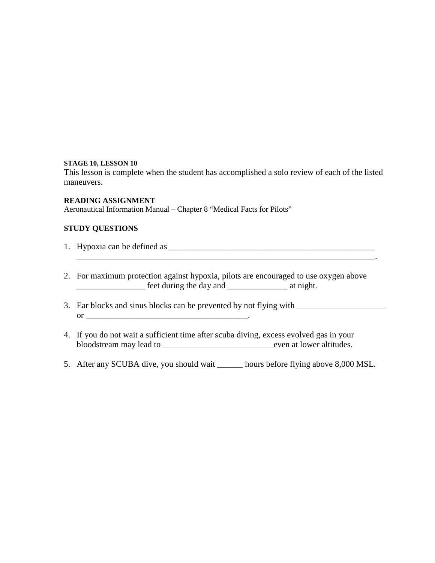This lesson is complete when the student has accomplished a solo review of each of the listed maneuvers.

### **READING ASSIGNMENT**

Aeronautical Information Manual – Chapter 8 "Medical Facts for Pilots"

# **STUDY QUESTIONS**

- 1. Hypoxia can be defined as \_\_\_\_\_\_\_\_\_\_\_\_\_\_\_\_\_\_\_\_\_\_\_\_\_\_\_\_\_\_\_\_\_\_\_\_\_\_\_\_\_\_\_\_\_\_\_\_
- 2. For maximum protection against hypoxia, pilots are encouraged to use oxygen above \_\_\_\_\_\_\_\_\_\_\_\_\_\_\_\_ feet during the day and \_\_\_\_\_\_\_\_\_\_\_\_\_\_ at night.

\_\_\_\_\_\_\_\_\_\_\_\_\_\_\_\_\_\_\_\_\_\_\_\_\_\_\_\_\_\_\_\_\_\_\_\_\_\_\_\_\_\_\_\_\_\_\_\_\_\_\_\_\_\_\_\_\_\_\_\_\_\_\_\_\_\_\_\_\_\_.

- 3. Ear blocks and sinus blocks can be prevented by not flying with \_\_\_\_\_\_\_\_\_\_\_\_\_\_ or \_\_\_\_\_\_\_\_\_\_\_\_\_\_\_\_\_\_\_\_\_\_\_\_\_\_\_\_\_\_\_\_\_\_\_\_\_\_.
- 4. If you do not wait a sufficient time after scuba diving, excess evolved gas in your bloodstream may lead to \_\_\_\_\_\_\_\_\_\_\_\_\_\_\_\_\_\_\_\_\_\_\_\_\_\_even at lower altitudes.
- 5. After any SCUBA dive, you should wait \_\_\_\_\_\_ hours before flying above 8,000 MSL.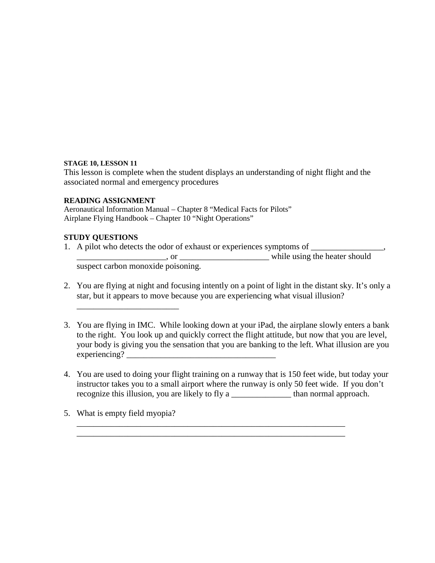This lesson is complete when the student displays an understanding of night flight and the associated normal and emergency procedures

# **READING ASSIGNMENT**

Aeronautical Information Manual – Chapter 8 "Medical Facts for Pilots" Airplane Flying Handbook – Chapter 10 "Night Operations"

# **STUDY QUESTIONS**

1. A pilot who detects the odor of exhaust or experiences symptoms of  $\Box$ 

\_\_\_\_\_\_\_\_\_\_\_\_\_\_\_\_\_\_\_\_\_, or \_\_\_\_\_\_\_\_\_\_\_\_\_\_\_\_\_\_\_\_\_ while using the heater should

suspect carbon monoxide poisoning.

\_\_\_\_\_\_\_\_\_\_\_\_\_\_\_\_\_\_\_\_\_\_\_\_

- 2. You are flying at night and focusing intently on a point of light in the distant sky. It's only a star, but it appears to move because you are experiencing what visual illusion?
- 3. You are flying in IMC. While looking down at your iPad, the airplane slowly enters a bank to the right. You look up and quickly correct the flight attitude, but now that you are level, your body is giving you the sensation that you are banking to the left. What illusion are you  $experiencing?$
- 4. You are used to doing your flight training on a runway that is 150 feet wide, but today your instructor takes you to a small airport where the runway is only 50 feet wide. If you don't recognize this illusion, you are likely to fly a \_\_\_\_\_\_\_\_\_\_\_\_\_\_ than normal approach.

\_\_\_\_\_\_\_\_\_\_\_\_\_\_\_\_\_\_\_\_\_\_\_\_\_\_\_\_\_\_\_\_\_\_\_\_\_\_\_\_\_\_\_\_\_\_\_\_\_\_\_\_\_\_\_\_\_\_\_\_\_\_\_ \_\_\_\_\_\_\_\_\_\_\_\_\_\_\_\_\_\_\_\_\_\_\_\_\_\_\_\_\_\_\_\_\_\_\_\_\_\_\_\_\_\_\_\_\_\_\_\_\_\_\_\_\_\_\_\_\_\_\_\_\_\_\_

5. What is empty field myopia?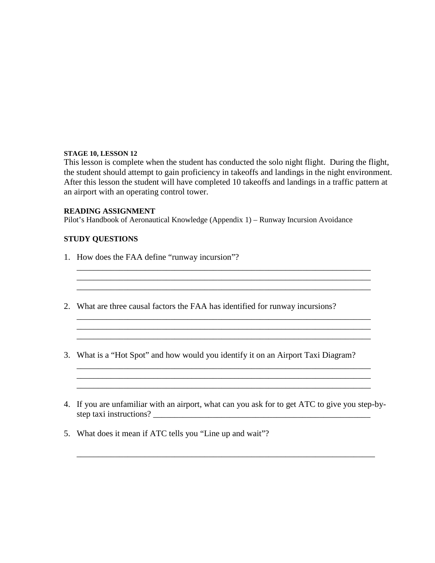This lesson is complete when the student has conducted the solo night flight. During the flight, the student should attempt to gain proficiency in takeoffs and landings in the night environment. After this lesson the student will have completed 10 takeoffs and landings in a traffic pattern at an airport with an operating control tower.

 $\mathcal{L}_\mathcal{L} = \{ \mathcal{L}_\mathcal{L} = \{ \mathcal{L}_\mathcal{L} = \{ \mathcal{L}_\mathcal{L} = \{ \mathcal{L}_\mathcal{L} = \{ \mathcal{L}_\mathcal{L} = \{ \mathcal{L}_\mathcal{L} = \{ \mathcal{L}_\mathcal{L} = \{ \mathcal{L}_\mathcal{L} = \{ \mathcal{L}_\mathcal{L} = \{ \mathcal{L}_\mathcal{L} = \{ \mathcal{L}_\mathcal{L} = \{ \mathcal{L}_\mathcal{L} = \{ \mathcal{L}_\mathcal{L} = \{ \mathcal{L}_\mathcal{$ \_\_\_\_\_\_\_\_\_\_\_\_\_\_\_\_\_\_\_\_\_\_\_\_\_\_\_\_\_\_\_\_\_\_\_\_\_\_\_\_\_\_\_\_\_\_\_\_\_\_\_\_\_\_\_\_\_\_\_\_\_\_\_\_\_\_\_\_\_

\_\_\_\_\_\_\_\_\_\_\_\_\_\_\_\_\_\_\_\_\_\_\_\_\_\_\_\_\_\_\_\_\_\_\_\_\_\_\_\_\_\_\_\_\_\_\_\_\_\_\_\_\_\_\_\_\_\_\_\_\_\_\_\_\_\_\_\_\_ \_\_\_\_\_\_\_\_\_\_\_\_\_\_\_\_\_\_\_\_\_\_\_\_\_\_\_\_\_\_\_\_\_\_\_\_\_\_\_\_\_\_\_\_\_\_\_\_\_\_\_\_\_\_\_\_\_\_\_\_\_\_\_\_\_\_\_\_\_ \_\_\_\_\_\_\_\_\_\_\_\_\_\_\_\_\_\_\_\_\_\_\_\_\_\_\_\_\_\_\_\_\_\_\_\_\_\_\_\_\_\_\_\_\_\_\_\_\_\_\_\_\_\_\_\_\_\_\_\_\_\_\_\_\_\_\_\_\_

# **READING ASSIGNMENT**

Pilot's Handbook of Aeronautical Knowledge (Appendix 1) – Runway Incursion Avoidance

## **STUDY QUESTIONS**

- 1. How does the FAA define "runway incursion"?
- 2. What are three causal factors the FAA has identified for runway incursions?

\_\_\_\_\_\_\_\_\_\_\_\_\_\_\_\_\_\_\_\_\_\_\_\_\_\_\_\_\_\_\_\_\_\_\_\_\_\_\_\_\_\_\_\_\_\_\_\_\_\_\_\_\_\_\_\_\_\_\_\_\_\_\_\_\_\_\_\_\_

- 3. What is a "Hot Spot" and how would you identify it on an Airport Taxi Diagram?
- 4. If you are unfamiliar with an airport, what can you ask for to get ATC to give you step-bystep taxi instructions? \_\_\_\_\_\_\_\_\_\_\_\_\_\_\_\_\_\_\_\_\_\_\_\_\_\_\_\_\_\_\_\_\_\_\_\_\_\_\_\_\_\_\_\_\_\_\_\_\_\_\_

\_\_\_\_\_\_\_\_\_\_\_\_\_\_\_\_\_\_\_\_\_\_\_\_\_\_\_\_\_\_\_\_\_\_\_\_\_\_\_\_\_\_\_\_\_\_\_\_\_\_\_\_\_\_\_\_\_\_\_\_\_\_\_\_\_\_\_\_\_\_

\_\_\_\_\_\_\_\_\_\_\_\_\_\_\_\_\_\_\_\_\_\_\_\_\_\_\_\_\_\_\_\_\_\_\_\_\_\_\_\_\_\_\_\_\_\_\_\_\_\_\_\_\_\_\_\_\_\_\_\_\_\_\_\_\_\_\_\_\_

5. What does it mean if ATC tells you "Line up and wait"?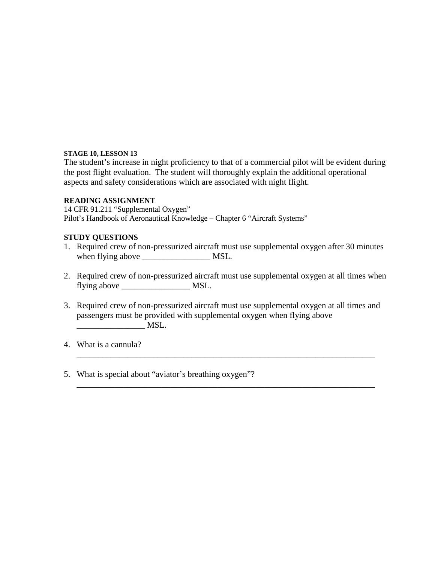The student's increase in night proficiency to that of a commercial pilot will be evident during the post flight evaluation. The student will thoroughly explain the additional operational aspects and safety considerations which are associated with night flight.

## **READING ASSIGNMENT**

14 CFR 91.211 "Supplemental Oxygen" Pilot's Handbook of Aeronautical Knowledge – Chapter 6 "Aircraft Systems"

## **STUDY QUESTIONS**

- 1. Required crew of non-pressurized aircraft must use supplemental oxygen after 30 minutes when flying above \_\_\_\_\_\_\_\_\_\_\_\_\_\_\_\_ MSL.
- 2. Required crew of non-pressurized aircraft must use supplemental oxygen at all times when flying above MSL.
- 3. Required crew of non-pressurized aircraft must use supplemental oxygen at all times and passengers must be provided with supplemental oxygen when flying above \_\_\_\_\_\_\_\_\_\_\_\_\_\_\_\_ MSL.

\_\_\_\_\_\_\_\_\_\_\_\_\_\_\_\_\_\_\_\_\_\_\_\_\_\_\_\_\_\_\_\_\_\_\_\_\_\_\_\_\_\_\_\_\_\_\_\_\_\_\_\_\_\_\_\_\_\_\_\_\_\_\_\_\_\_\_\_\_\_

\_\_\_\_\_\_\_\_\_\_\_\_\_\_\_\_\_\_\_\_\_\_\_\_\_\_\_\_\_\_\_\_\_\_\_\_\_\_\_\_\_\_\_\_\_\_\_\_\_\_\_\_\_\_\_\_\_\_\_\_\_\_\_\_\_\_\_\_\_\_

- 4. What is a cannula?
- 5. What is special about "aviator's breathing oxygen"?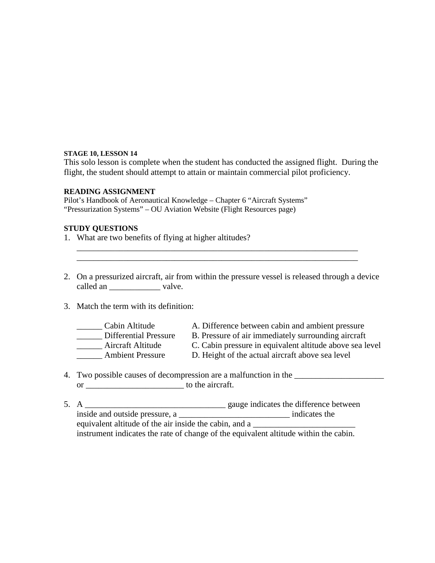This solo lesson is complete when the student has conducted the assigned flight. During the flight, the student should attempt to attain or maintain commercial pilot proficiency.

#### **READING ASSIGNMENT**

Pilot's Handbook of Aeronautical Knowledge – Chapter 6 "Aircraft Systems" "Pressurization Systems" – OU Aviation Website (Flight Resources page)

## **STUDY QUESTIONS**

- 1. What are two benefits of flying at higher altitudes?
- 2. On a pressurized aircraft, air from within the pressure vessel is released through a device called an \_\_\_\_\_\_\_\_\_\_\_\_\_\_ valve.

\_\_\_\_\_\_\_\_\_\_\_\_\_\_\_\_\_\_\_\_\_\_\_\_\_\_\_\_\_\_\_\_\_\_\_\_\_\_\_\_\_\_\_\_\_\_\_\_\_\_\_\_\_\_\_\_\_\_\_\_\_\_\_\_\_\_ \_\_\_\_\_\_\_\_\_\_\_\_\_\_\_\_\_\_\_\_\_\_\_\_\_\_\_\_\_\_\_\_\_\_\_\_\_\_\_\_\_\_\_\_\_\_\_\_\_\_\_\_\_\_\_\_\_\_\_\_\_\_\_\_\_\_

3. Match the term with its definition:

| Cabin Altitude               |
|------------------------------|
| <b>Differential Pressure</b> |
| Aircraft Altitude            |
| <b>Ambient Pressure</b>      |

- A. Difference between cabin and ambient pressure
- B. Pressure of air immediately surrounding aircraft
- C. Cabin pressure in equivalent altitude above sea level
- D. Height of the actual aircraft above sea level
- 4. Two possible causes of decompression are a malfunction in the or \_\_\_\_\_\_\_\_\_\_\_\_\_\_\_\_\_\_\_\_\_\_\_ to the aircraft.
- 5. A \_\_\_\_\_\_\_\_\_\_\_\_\_\_\_\_\_\_\_\_\_\_\_\_\_\_\_\_\_\_\_\_\_ gauge indicates the difference between inside and outside pressure, a \_\_\_\_\_\_\_\_\_\_\_\_\_\_\_\_\_\_\_\_\_\_\_\_\_\_\_\_\_\_\_\_\_\_ indicates the equivalent altitude of the air inside the cabin, and a instrument indicates the rate of change of the equivalent altitude within the cabin.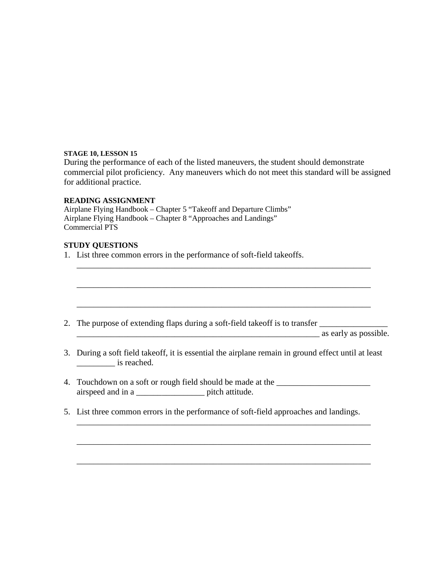During the performance of each of the listed maneuvers, the student should demonstrate commercial pilot proficiency. Any maneuvers which do not meet this standard will be assigned for additional practice.

## **READING ASSIGNMENT**

Airplane Flying Handbook – Chapter 5 "Takeoff and Departure Climbs" Airplane Flying Handbook – Chapter 8 "Approaches and Landings" Commercial PTS

## **STUDY QUESTIONS**

1. List three common errors in the performance of soft-field takeoffs.

|  |  | 2. The purpose of extending flaps during a soft-field takeoff is to transfer |  |
|--|--|------------------------------------------------------------------------------|--|
|  |  |                                                                              |  |

\_\_\_\_\_\_\_\_\_\_\_\_\_\_\_\_\_\_\_\_\_\_\_\_\_\_\_\_\_\_\_\_\_\_\_\_\_\_\_\_\_\_\_\_\_\_\_\_\_\_\_\_\_\_\_\_\_ as early as possible.

3. During a soft field takeoff, it is essential the airplane remain in ground effect until at least \_\_\_\_\_\_\_\_\_ is reached.

\_\_\_\_\_\_\_\_\_\_\_\_\_\_\_\_\_\_\_\_\_\_\_\_\_\_\_\_\_\_\_\_\_\_\_\_\_\_\_\_\_\_\_\_\_\_\_\_\_\_\_\_\_\_\_\_\_\_\_\_\_\_\_\_\_\_\_\_\_

\_\_\_\_\_\_\_\_\_\_\_\_\_\_\_\_\_\_\_\_\_\_\_\_\_\_\_\_\_\_\_\_\_\_\_\_\_\_\_\_\_\_\_\_\_\_\_\_\_\_\_\_\_\_\_\_\_\_\_\_\_\_\_\_\_\_\_\_\_

\_\_\_\_\_\_\_\_\_\_\_\_\_\_\_\_\_\_\_\_\_\_\_\_\_\_\_\_\_\_\_\_\_\_\_\_\_\_\_\_\_\_\_\_\_\_\_\_\_\_\_\_\_\_\_\_\_\_\_\_\_\_\_\_\_\_\_\_\_

\_\_\_\_\_\_\_\_\_\_\_\_\_\_\_\_\_\_\_\_\_\_\_\_\_\_\_\_\_\_\_\_\_\_\_\_\_\_\_\_\_\_\_\_\_\_\_\_\_\_\_\_\_\_\_\_\_\_\_\_\_\_\_\_\_\_\_\_\_

\_\_\_\_\_\_\_\_\_\_\_\_\_\_\_\_\_\_\_\_\_\_\_\_\_\_\_\_\_\_\_\_\_\_\_\_\_\_\_\_\_\_\_\_\_\_\_\_\_\_\_\_\_\_\_\_\_\_\_\_\_\_\_\_\_\_\_\_\_

\_\_\_\_\_\_\_\_\_\_\_\_\_\_\_\_\_\_\_\_\_\_\_\_\_\_\_\_\_\_\_\_\_\_\_\_\_\_\_\_\_\_\_\_\_\_\_\_\_\_\_\_\_\_\_\_\_\_\_\_\_\_\_\_\_\_\_\_\_

- 4. Touchdown on a soft or rough field should be made at the \_\_\_\_\_\_\_\_\_\_\_\_\_\_\_\_\_\_\_\_ airspeed and in a \_\_\_\_\_\_\_\_\_\_\_\_\_\_\_\_\_\_\_\_\_\_\_\_ pitch attitude.
- 5. List three common errors in the performance of soft-field approaches and landings.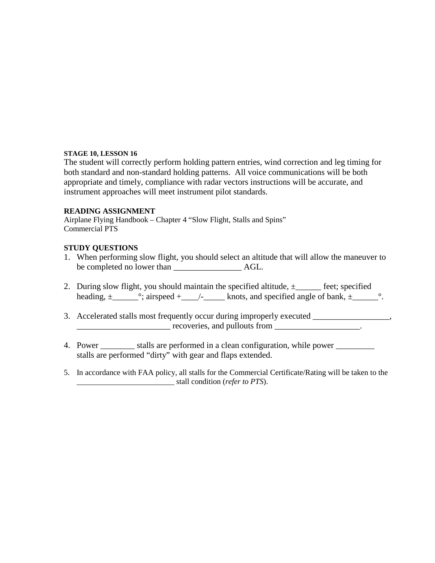The student will correctly perform holding pattern entries, wind correction and leg timing for both standard and non-standard holding patterns. All voice communications will be both appropriate and timely, compliance with radar vectors instructions will be accurate, and instrument approaches will meet instrument pilot standards.

# **READING ASSIGNMENT**

Airplane Flying Handbook – Chapter 4 "Slow Flight, Stalls and Spins" Commercial PTS

# **STUDY QUESTIONS**

- 1. When performing slow flight, you should select an altitude that will allow the maneuver to be completed no lower than \_\_\_\_\_\_\_\_\_\_\_\_\_\_\_\_ AGL.
- 2. During slow flight, you should maintain the specified altitude,  $\pm$  \_\_\_\_\_\_ feet; specified heading,  $\pm$ \_\_\_\_\_\_\_°; airspeed  $+$ \_\_\_\_/-\_\_\_\_\_\_ knots, and specified angle of bank,  $\pm$ \_\_\_\_\_\_\_°.
- 3. Accelerated stalls most frequently occur during improperly executed \_\_\_\_\_\_\_\_\_\_\_\_\_\_\_\_,  $recoveries, and pullouts from$
- 4. Power \_\_\_\_\_\_\_\_\_ stalls are performed in a clean configuration, while power \_\_\_\_\_\_\_\_ stalls are performed "dirty" with gear and flaps extended.
- 5. In accordance with FAA policy, all stalls for the Commercial Certificate/Rating will be taken to the \_\_\_\_\_\_\_\_\_\_\_\_\_\_\_\_\_\_\_\_\_\_\_\_\_ stall condition (*refer to PTS*).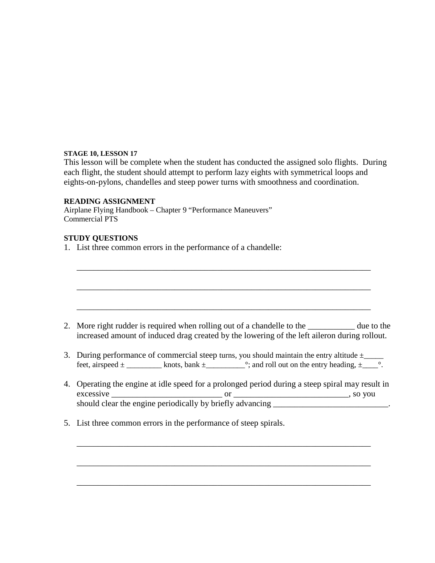This lesson will be complete when the student has conducted the assigned solo flights. During each flight, the student should attempt to perform lazy eights with symmetrical loops and eights-on-pylons, chandelles and steep power turns with smoothness and coordination.

\_\_\_\_\_\_\_\_\_\_\_\_\_\_\_\_\_\_\_\_\_\_\_\_\_\_\_\_\_\_\_\_\_\_\_\_\_\_\_\_\_\_\_\_\_\_\_\_\_\_\_\_\_\_\_\_\_\_\_\_\_\_\_\_\_\_\_\_\_

#### **READING ASSIGNMENT**

Airplane Flying Handbook – Chapter 9 "Performance Maneuvers" Commercial PTS

## **STUDY QUESTIONS**

1. List three common errors in the performance of a chandelle:

\_\_\_\_\_\_\_\_\_\_\_\_\_\_\_\_\_\_\_\_\_\_\_\_\_\_\_\_\_\_\_\_\_\_\_\_\_\_\_\_\_\_\_\_\_\_\_\_\_\_\_\_\_\_\_\_\_\_\_\_\_\_\_\_\_\_\_\_\_ \_\_\_\_\_\_\_\_\_\_\_\_\_\_\_\_\_\_\_\_\_\_\_\_\_\_\_\_\_\_\_\_\_\_\_\_\_\_\_\_\_\_\_\_\_\_\_\_\_\_\_\_\_\_\_\_\_\_\_\_\_\_\_\_\_\_\_\_\_ 2. More right rudder is required when rolling out of a chandelle to the due to the increased amount of induced drag created by the lowering of the left aileron during rollout. 3. During performance of commercial steep turns, you should maintain the entry altitude  $\pm$ feet, airspeed  $\pm$  \_\_\_\_\_\_\_\_\_\_ knots, bank  $\pm$  \_\_\_\_\_\_\_\_°; and roll out on the entry heading,  $\pm$  \_\_\_°. 4. Operating the engine at idle speed for a prolonged period during a steep spiral may result in excessive \_\_\_\_\_\_\_\_\_\_\_\_\_\_\_\_\_\_\_\_\_\_\_\_\_\_ or \_\_\_\_\_\_\_\_\_\_\_\_\_\_\_\_\_\_\_\_\_\_\_\_\_\_\_, so you should clear the engine periodically by briefly advancing \_\_\_\_\_\_\_\_\_\_\_\_\_\_\_\_\_\_\_\_\_\_\_ 5. List three common errors in the performance of steep spirals. \_\_\_\_\_\_\_\_\_\_\_\_\_\_\_\_\_\_\_\_\_\_\_\_\_\_\_\_\_\_\_\_\_\_\_\_\_\_\_\_\_\_\_\_\_\_\_\_\_\_\_\_\_\_\_\_\_\_\_\_\_\_\_\_\_\_\_\_\_

\_\_\_\_\_\_\_\_\_\_\_\_\_\_\_\_\_\_\_\_\_\_\_\_\_\_\_\_\_\_\_\_\_\_\_\_\_\_\_\_\_\_\_\_\_\_\_\_\_\_\_\_\_\_\_\_\_\_\_\_\_\_\_\_\_\_\_\_\_

\_\_\_\_\_\_\_\_\_\_\_\_\_\_\_\_\_\_\_\_\_\_\_\_\_\_\_\_\_\_\_\_\_\_\_\_\_\_\_\_\_\_\_\_\_\_\_\_\_\_\_\_\_\_\_\_\_\_\_\_\_\_\_\_\_\_\_\_\_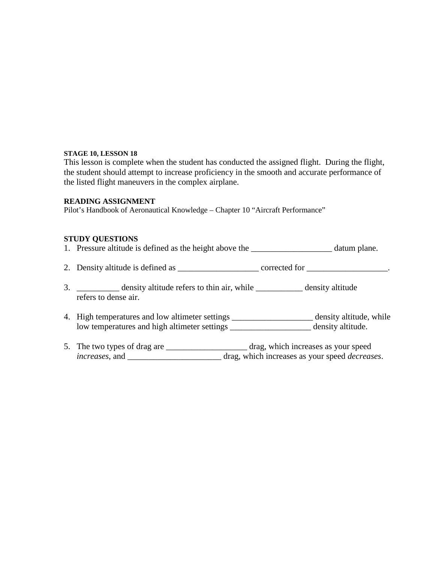This lesson is complete when the student has conducted the assigned flight. During the flight, the student should attempt to increase proficiency in the smooth and accurate performance of the listed flight maneuvers in the complex airplane.

#### **READING ASSIGNMENT**

Pilot's Handbook of Aeronautical Knowledge – Chapter 10 "Aircraft Performance"

## **STUDY QUESTIONS**

- 1. Pressure altitude is defined as the height above the \_\_\_\_\_\_\_\_\_\_\_\_\_\_\_\_\_\_\_\_\_\_\_ datum plane.
- 2. Density altitude is defined as  $\frac{1}{2}$  corrected for  $\frac{1}{2}$ .
- 3. \_\_\_\_\_\_\_\_\_\_ density altitude refers to thin air, while \_\_\_\_\_\_\_\_\_\_\_ density altitude refers to dense air.
- 4. High temperatures and low altimeter settings \_\_\_\_\_\_\_\_\_\_\_\_\_\_\_\_\_\_\_ density altitude, while low temperatures and high altimeter settings \_\_\_\_\_\_\_\_\_\_\_\_\_\_\_\_\_\_\_ density altitude.
- 5. The two types of drag are \_\_\_\_\_\_\_\_\_\_\_\_\_\_\_\_\_\_\_\_\_\_\_ drag, which increases as your speed *increases*, and \_\_\_\_\_\_\_\_\_\_\_\_\_\_\_\_\_\_\_\_\_\_ drag, which increases as your speed *decreases*.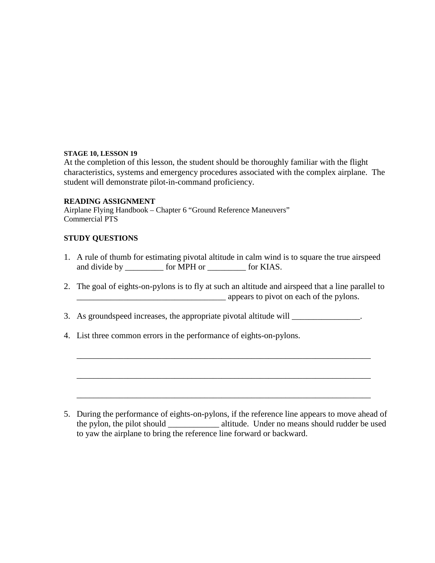At the completion of this lesson, the student should be thoroughly familiar with the flight characteristics, systems and emergency procedures associated with the complex airplane. The student will demonstrate pilot-in-command proficiency.

## **READING ASSIGNMENT**

Airplane Flying Handbook – Chapter 6 "Ground Reference Maneuvers" Commercial PTS

# **STUDY QUESTIONS**

- 1. A rule of thumb for estimating pivotal altitude in calm wind is to square the true airspeed and divide by \_\_\_\_\_\_\_\_\_ for MPH or \_\_\_\_\_\_\_\_\_ for KIAS.
- 2. The goal of eights-on-pylons is to fly at such an altitude and airspeed that a line parallel to example appears to pivot on each of the pylons.

\_\_\_\_\_\_\_\_\_\_\_\_\_\_\_\_\_\_\_\_\_\_\_\_\_\_\_\_\_\_\_\_\_\_\_\_\_\_\_\_\_\_\_\_\_\_\_\_\_\_\_\_\_\_\_\_\_\_\_\_\_\_\_\_\_\_\_\_\_

\_\_\_\_\_\_\_\_\_\_\_\_\_\_\_\_\_\_\_\_\_\_\_\_\_\_\_\_\_\_\_\_\_\_\_\_\_\_\_\_\_\_\_\_\_\_\_\_\_\_\_\_\_\_\_\_\_\_\_\_\_\_\_\_\_\_\_\_\_

\_\_\_\_\_\_\_\_\_\_\_\_\_\_\_\_\_\_\_\_\_\_\_\_\_\_\_\_\_\_\_\_\_\_\_\_\_\_\_\_\_\_\_\_\_\_\_\_\_\_\_\_\_\_\_\_\_\_\_\_\_\_\_\_\_\_\_\_\_

- 3. As groundspeed increases, the appropriate pivotal altitude will \_\_\_\_\_\_\_\_\_\_\_\_\_\_.
- 4. List three common errors in the performance of eights-on-pylons.

5. During the performance of eights-on-pylons, if the reference line appears to move ahead of the pylon, the pilot should \_\_\_\_\_\_\_\_\_\_\_\_ altitude. Under no means should rudder be used to yaw the airplane to bring the reference line forward or backward.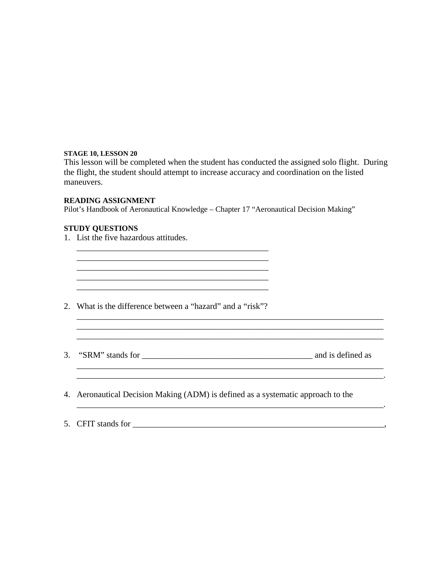This lesson will be completed when the student has conducted the assigned solo flight. During the flight, the student should attempt to increase accuracy and coordination on the listed maneuvers.

\_\_\_\_\_\_\_\_\_\_\_\_\_\_\_\_\_\_\_\_\_\_\_\_\_\_\_\_\_\_\_\_\_\_\_\_\_\_\_\_\_\_\_\_\_\_\_\_\_\_\_\_\_\_\_\_\_\_\_\_\_\_\_\_\_\_\_\_\_\_\_\_ \_\_\_\_\_\_\_\_\_\_\_\_\_\_\_\_\_\_\_\_\_\_\_\_\_\_\_\_\_\_\_\_\_\_\_\_\_\_\_\_\_\_\_\_\_\_\_\_\_\_\_\_\_\_\_\_\_\_\_\_\_\_\_\_\_\_\_\_\_\_\_\_

 $\mathcal{L}_\text{max}$ 

\_\_\_\_\_\_\_\_\_\_\_\_\_\_\_\_\_\_\_\_\_\_\_\_\_\_\_\_\_\_\_\_\_\_\_\_\_\_\_\_\_\_\_\_\_\_\_\_\_\_\_\_\_\_\_\_\_\_\_\_\_\_\_\_\_\_\_\_\_\_\_\_.

## **READING ASSIGNMENT**

Pilot's Handbook of Aeronautical Knowledge – Chapter 17 "Aeronautical Decision Making"

#### **STUDY QUESTIONS**

1. List the five hazardous attitudes.

2. What is the difference between a "hazard" and a "risk"?

\_\_\_\_\_\_\_\_\_\_\_\_\_\_\_\_\_\_\_\_\_\_\_\_\_\_\_\_\_\_\_\_\_\_\_\_\_\_\_\_\_\_\_\_\_ \_\_\_\_\_\_\_\_\_\_\_\_\_\_\_\_\_\_\_\_\_\_\_\_\_\_\_\_\_\_\_\_\_\_\_\_\_\_\_\_\_\_\_\_\_ \_\_\_\_\_\_\_\_\_\_\_\_\_\_\_\_\_\_\_\_\_\_\_\_\_\_\_\_\_\_\_\_\_\_\_\_\_\_\_\_\_\_\_\_\_  $\mathcal{L}_\text{max} = \mathcal{L}_\text{max} = \mathcal{L}_\text{max} = \mathcal{L}_\text{max} = \mathcal{L}_\text{max} = \mathcal{L}_\text{max} = \mathcal{L}_\text{max} = \mathcal{L}_\text{max} = \mathcal{L}_\text{max} = \mathcal{L}_\text{max} = \mathcal{L}_\text{max} = \mathcal{L}_\text{max} = \mathcal{L}_\text{max} = \mathcal{L}_\text{max} = \mathcal{L}_\text{max} = \mathcal{L}_\text{max} = \mathcal{L}_\text{max} = \mathcal{L}_\text{max} = \mathcal{$ \_\_\_\_\_\_\_\_\_\_\_\_\_\_\_\_\_\_\_\_\_\_\_\_\_\_\_\_\_\_\_\_\_\_\_\_\_\_\_\_\_\_\_\_\_

3. "SRM" stands for \_\_\_\_\_\_\_\_\_\_\_\_\_\_\_\_\_\_\_\_\_\_\_\_\_\_\_\_\_\_\_\_\_\_\_\_\_\_\_\_ and is defined as

\_\_\_\_\_\_\_\_\_\_\_\_\_\_\_\_\_\_\_\_\_\_\_\_\_\_\_\_\_\_\_\_\_\_\_\_\_\_\_\_\_\_\_\_\_\_\_\_\_\_\_\_\_\_\_\_\_\_\_\_\_\_\_\_\_\_\_\_\_\_\_\_

\_\_\_\_\_\_\_\_\_\_\_\_\_\_\_\_\_\_\_\_\_\_\_\_\_\_\_\_\_\_\_\_\_\_\_\_\_\_\_\_\_\_\_\_\_\_\_\_\_\_\_\_\_\_\_\_\_\_\_\_\_\_\_\_\_\_\_\_\_\_\_\_

- 4. Aeronautical Decision Making (ADM) is defined as a systematic approach to the
- 5. CFIT stands for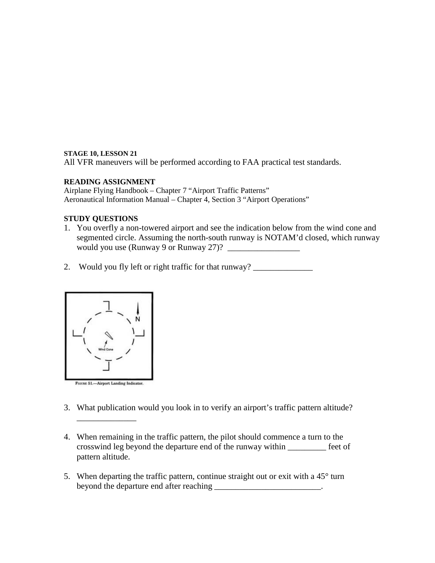All VFR maneuvers will be performed according to FAA practical test standards.

# **READING ASSIGNMENT**

Airplane Flying Handbook – Chapter 7 "Airport Traffic Patterns" Aeronautical Information Manual – Chapter 4, Section 3 "Airport Operations"

## **STUDY QUESTIONS**

- 1. You overfly a non-towered airport and see the indication below from the wind cone and segmented circle. Assuming the north-south runway is NOTAM'd closed, which runway would you use (Runway 9 or Runway 27)?
- 2. Would you fly left or right traffic for that runway? \_\_\_\_\_\_\_\_\_\_\_\_\_\_\_\_\_\_\_\_\_\_\_\_\_



\_\_\_\_\_\_\_\_\_\_\_\_\_\_

- 3. What publication would you look in to verify an airport's traffic pattern altitude?
- 4. When remaining in the traffic pattern, the pilot should commence a turn to the crosswind leg beyond the departure end of the runway within \_\_\_\_\_\_\_\_\_ feet of pattern altitude.
- 5. When departing the traffic pattern, continue straight out or exit with a  $45^{\circ}$  turn beyond the departure end after reaching \_\_\_\_\_\_\_\_\_\_\_\_\_\_\_\_\_\_\_\_\_\_\_\_\_.